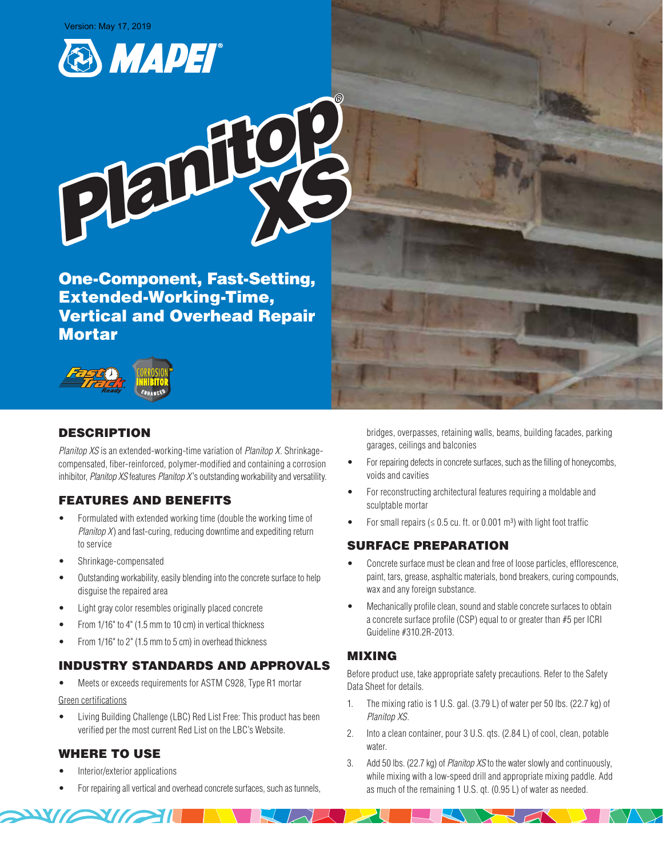



One-Component, Fast-Setting, Extended-Working-Time, Vertical and Overhead Repair **Mortar** 



# DESCRIPTION

*Planitop XS* is an extended-working-time variation of *Planitop X*. Shrinkagecompensated, fiber-reinforced, polymer-modified and containing a corrosion inhibitor, *Planitop XS* features *Planitop X* 's outstanding workability and versatility.

# FEATURES AND BENEFITS

- Formulated with extended working time (double the working time of *Planitop X*) and fast-curing, reducing downtime and expediting return to service
- Shrinkage-compensated
- Outstanding workability, easily blending into the concrete surface to help disguise the repaired area
- Light gray color resembles originally placed concrete
- From 1/16" to 4" (1.5 mm to 10 cm) in vertical thickness
- From 1/16" to 2" (1.5 mm to 5 cm) in overhead thickness

# INDUSTRY STANDARDS AND APPROVALS

• Meets or exceeds requirements for ASTM C928, Type R1 mortar

#### Green certifications

• Living Building Challenge (LBC) Red List Free: This product has been verified per the most current Red List on the LBC's Website.

# WHERE TO USE

• Interior/exterior applications

**XIGSTIL** 

• For repairing all vertical and overhead concrete surfaces, such as tunnels,

bridges, overpasses, retaining walls, beams, building facades, parking garages, ceilings and balconies

- For repairing defects in concrete surfaces, such as the filling of honeycombs, voids and cavities
- For reconstructing architectural features requiring a moldable and sculptable mortar
- For small repairs ( $\leq 0.5$  cu. ft. or 0.001 m<sup>3</sup>) with light foot traffic

# SURFACE PREPARATION

- Concrete surface must be clean and free of loose particles, efflorescence, paint, tars, grease, asphaltic materials, bond breakers, curing compounds, wax and any foreign substance.
- Mechanically profile clean, sound and stable concrete surfaces to obtain a concrete surface profile (CSP) equal to or greater than #5 per ICRI Guideline #310.2R-2013.

# MIXING

Before product use, take appropriate safety precautions. Refer to the Safety Data Sheet for details.

- 1. The mixing ratio is 1 U.S. gal. (3.79 L) of water per 50 lbs. (22.7 kg) of *Planitop XS*.
- 2. Into a clean container, pour 3 U.S. qts. (2.84 L) of cool, clean, potable water.
- 3. Add 50 lbs. (22.7 kg) of *Planitop XS* to the water slowly and continuously, while mixing with a low-speed drill and appropriate mixing paddle. Add as much of the remaining 1 U.S. qt. (0.95 L) of water as needed.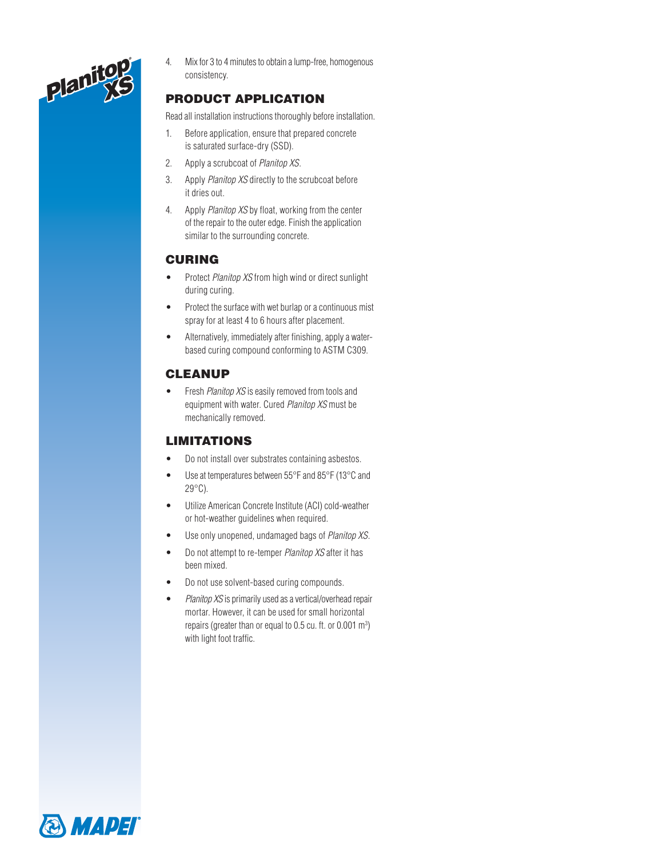

4. Mix for 3 to 4 minutes to obtain a lump-free, homogenous consistency.

# PRODUCT APPLICATION

Read all installation instructions thoroughly before installation.

- 1. Before application, ensure that prepared concrete is saturated surface-dry (SSD).
- 2. Apply a scrubcoat of *Planitop XS*.
- 3. Apply *Planitop XS* directly to the scrubcoat before it dries out.
- 4. Apply *Planitop XS* by float, working from the center of the repair to the outer edge. Finish the application similar to the surrounding concrete.

# CURING

- Protect *Planitop XS* from high wind or direct sunlight during curing.
- Protect the surface with wet burlap or a continuous mist spray for at least 4 to 6 hours after placement.
- Alternatively, immediately after finishing, apply a waterbased curing compound conforming to ASTM C309.

# CLEANUP

• Fresh *Planitop XS* is easily removed from tools and equipment with water. Cured *Planitop XS* must be mechanically removed.

### LIMITATIONS

- Do not install over substrates containing asbestos.
- Use at temperatures between 55°F and 85°F (13°C and 29°C).
- Utilize American Concrete Institute (ACI) cold-weather or hot-weather guidelines when required.
- Use only unopened, undamaged bags of *Planitop XS*.
- Do not attempt to re-temper *Planitop XS* after it has been mixed.
- Do not use solvent-based curing compounds.
- *Planitop XS* is primarily used as a vertical/overhead repair mortar. However, it can be used for small horizontal repairs (greater than or equal to  $0.5$  cu. ft. or  $0.001$  m<sup>3</sup>) with light foot traffic.

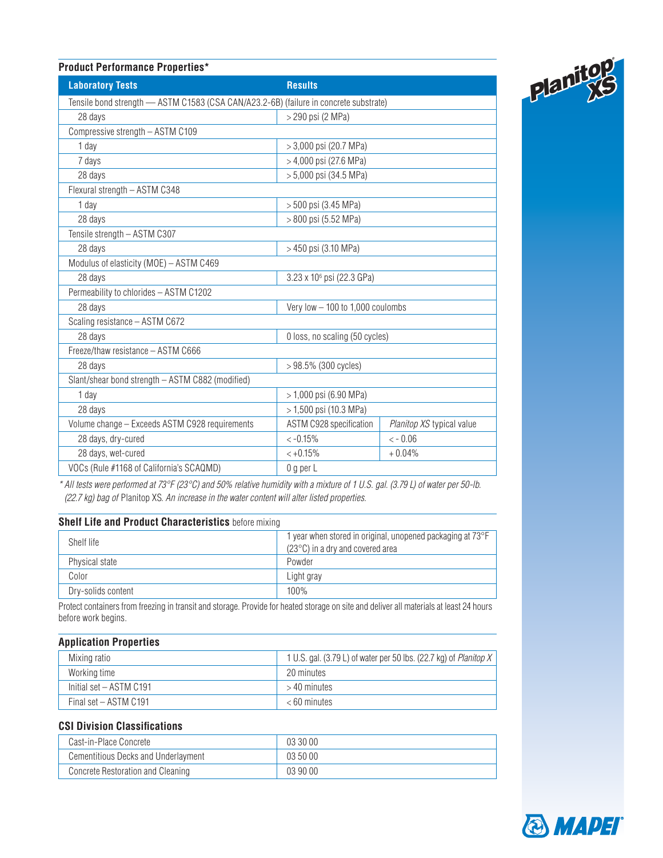### **Product Performance Properties\***

| <b>Laboratory Tests</b>                                                               | <b>Results</b>                        |                           |  |  |
|---------------------------------------------------------------------------------------|---------------------------------------|---------------------------|--|--|
| Tensile bond strength - ASTM C1583 (CSA CAN/A23.2-6B) (failure in concrete substrate) |                                       |                           |  |  |
| 28 days                                                                               | > 290 psi (2 MPa)                     |                           |  |  |
| Compressive strength - ASTM C109                                                      |                                       |                           |  |  |
| 1 day                                                                                 | $> 3,000$ psi (20.7 MPa)              |                           |  |  |
| 7 days                                                                                | > 4,000 psi (27.6 MPa)                |                           |  |  |
| 28 days                                                                               | > 5,000 psi (34.5 MPa)                |                           |  |  |
| Flexural strength - ASTM C348                                                         |                                       |                           |  |  |
| 1 day                                                                                 | > 500 psi (3.45 MPa)                  |                           |  |  |
| 28 days                                                                               | > 800 psi (5.52 MPa)                  |                           |  |  |
| Tensile strength - ASTM C307                                                          |                                       |                           |  |  |
| 28 days                                                                               | > 450 psi (3.10 MPa)                  |                           |  |  |
| Modulus of elasticity (MOE) - ASTM C469                                               |                                       |                           |  |  |
| 28 days                                                                               | 3.23 x 10 <sup>6</sup> psi (22.3 GPa) |                           |  |  |
| Permeability to chlorides - ASTM C1202                                                |                                       |                           |  |  |
| 28 days                                                                               | Very low $-$ 100 to 1,000 coulombs    |                           |  |  |
| Scaling resistance - ASTM C672                                                        |                                       |                           |  |  |
| 28 days                                                                               | 0 loss, no scaling (50 cycles)        |                           |  |  |
| Freeze/thaw resistance - ASTM C666                                                    |                                       |                           |  |  |
| 28 days                                                                               | $>98.5\%$ (300 cycles)                |                           |  |  |
| Slant/shear bond strength - ASTM C882 (modified)                                      |                                       |                           |  |  |
| 1 day                                                                                 | > 1,000 psi (6.90 MPa)                |                           |  |  |
| 28 days                                                                               | > 1,500 psi (10.3 MPa)                |                           |  |  |
| Volume change - Exceeds ASTM C928 requirements                                        | ASTM C928 specification               | Planitop XS typical value |  |  |
| 28 days, dry-cured                                                                    | $< -0.15%$                            | $<-0.06$                  |  |  |
| 28 days, wet-cured                                                                    | $< +0.15%$                            | $+0.04%$                  |  |  |
| VOCs (Rule #1168 of California's SCAQMD)                                              | $0$ g per $L$                         |                           |  |  |

*\* All tests were performed at 73°F (23°C) and 50% relative humidity with a mixture of 1 U.S. gal. (3.79 L) of water per 50-lb. (22.7 kg) bag of* Planitop XS*. An increase in the water content will alter listed properties.*

### **Shelf Life and Product Characteristics** before mixing

| Shelf life         | 1 year when stored in original, unopened packaging at $73^{\circ}F$<br>$(23^{\circ}C)$ in a dry and covered area |
|--------------------|------------------------------------------------------------------------------------------------------------------|
| Physical state     | Powder                                                                                                           |
| Color              | Light gray                                                                                                       |
| Dry-solids content | 100%                                                                                                             |

Protect containers from freezing in transit and storage. Provide for heated storage on site and deliver all materials at least 24 hours before work begins.

### **Application Properties**

| Mixing ratio            | 1 U.S. gal. (3.79 L) of water per 50 lbs. (22.7 kg) of <i>Planitop X</i> |
|-------------------------|--------------------------------------------------------------------------|
| Working time            | 20 minutes                                                               |
| Initial set - ASTM C191 | $>$ 40 minutes                                                           |
| Final set - ASTM C191   | $< 60$ minutes                                                           |

### **CSI Division Classifications**

| Cast-in-Place Concrete              | 03 30 00 |
|-------------------------------------|----------|
| Cementitious Decks and Underlayment | 03 50 00 |
| Concrete Restoration and Cleaning   | 039000   |